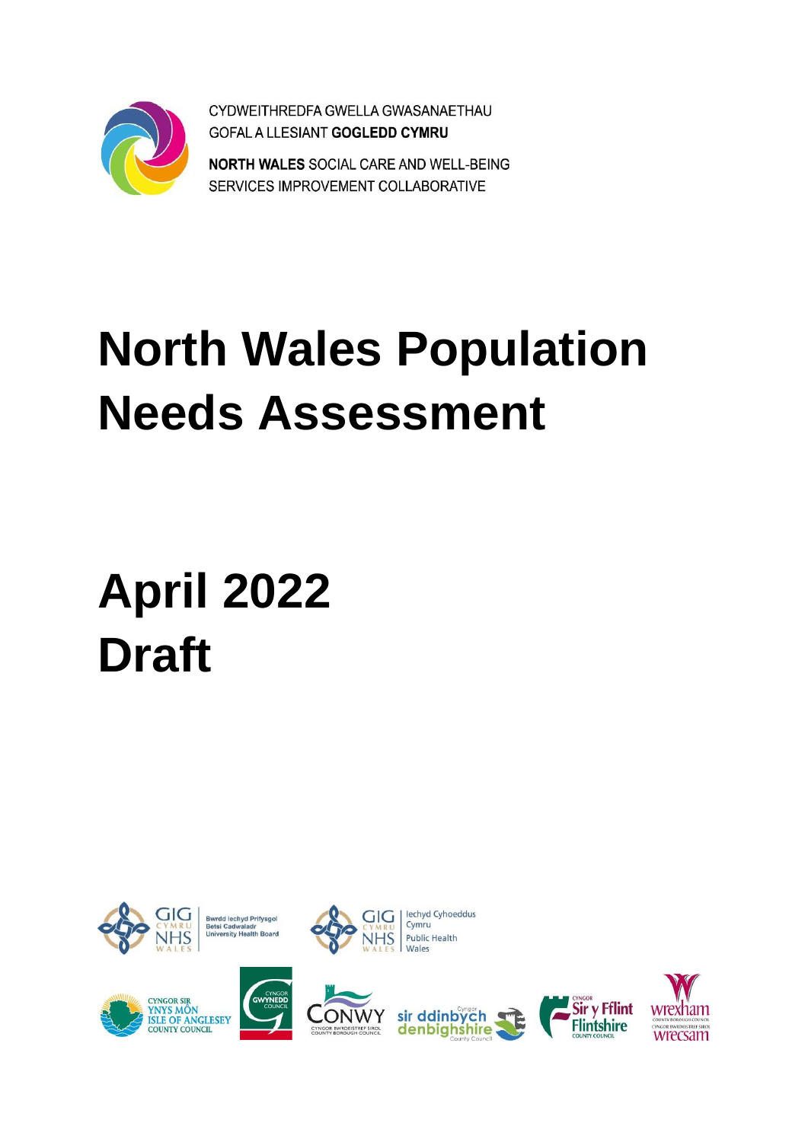

CYDWEITHREDFA GWELLA GWASANAETHAU **GOFAL A LLESIANT GOGLEDD CYMRU** 

**NORTH WALES SOCIAL CARE AND WELL-BEING** SERVICES IMPROVEMENT COLLABORATIVE

# **North Wales Population Needs Assessment**

# **April 2022 Draft**







lechyd Cyhoeddus Cymru **Public Health** 









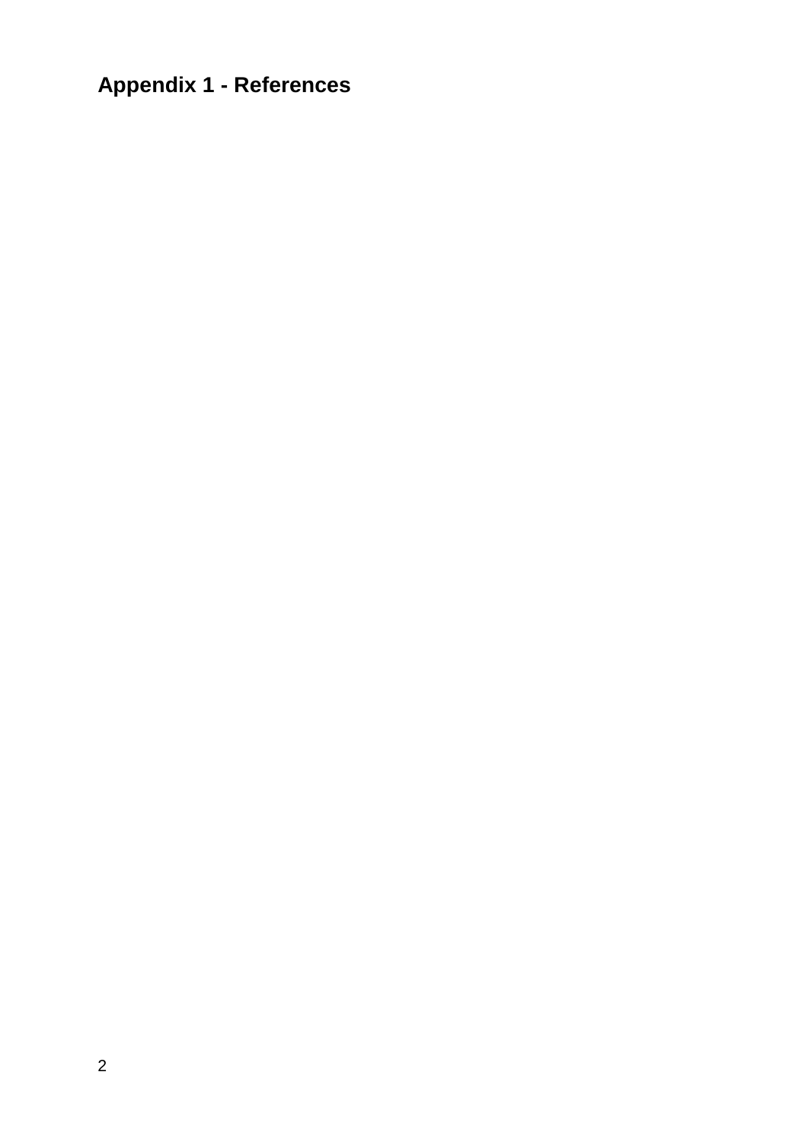**Appendix 1 - References**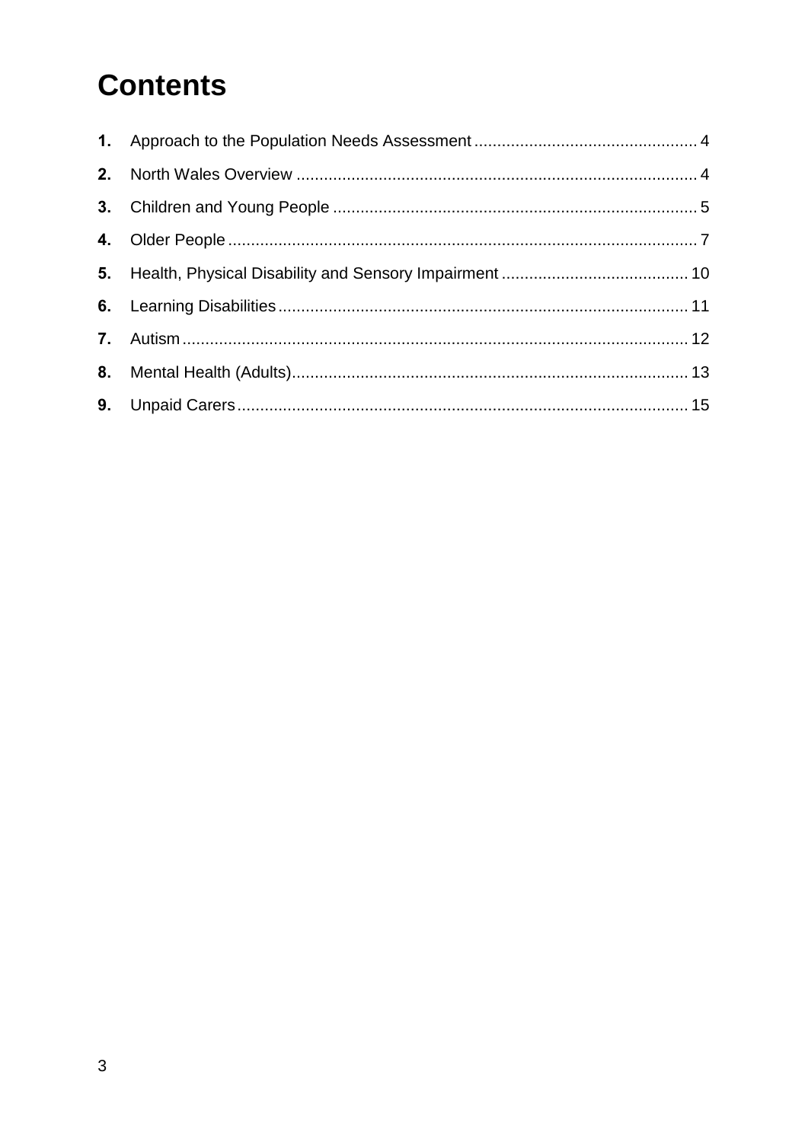#### **Contents**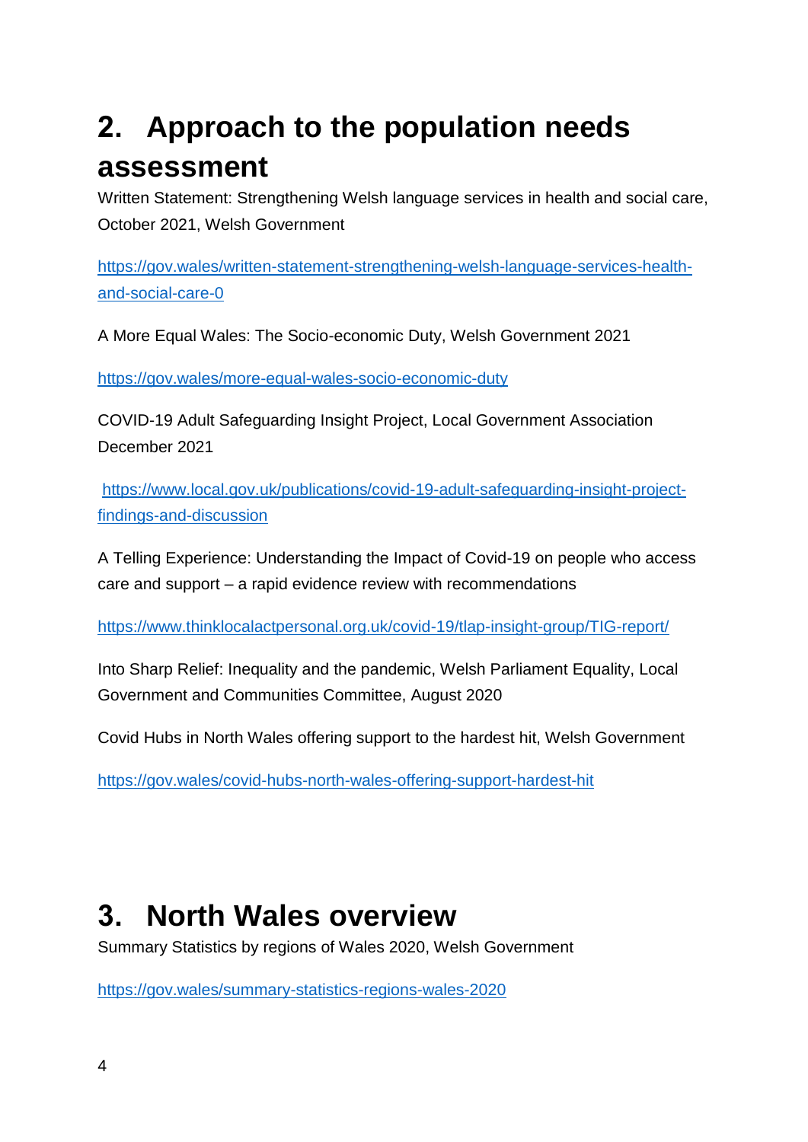## <span id="page-3-0"></span>**2. Approach to the population needs assessment**

Written Statement: Strengthening Welsh language services in health and social care, October 2021, Welsh Government

[https://gov.wales/written-statement-strengthening-welsh-language-services-health](https://gov.wales/written-statement-strengthening-welsh-language-services-health-and-social-care-0)[and-social-care-0](https://gov.wales/written-statement-strengthening-welsh-language-services-health-and-social-care-0)

A More Equal Wales: The Socio-economic Duty, Welsh Government 2021

<https://gov.wales/more-equal-wales-socio-economic-duty>

COVID-19 Adult Safeguarding Insight Project, Local Government Association December 2021

[https://www.local.gov.uk/publications/covid-19-adult-safeguarding-insight-project](https://www.local.gov.uk/publications/covid-19-adult-safeguarding-insight-project-findings-and-discussion)[findings-and-discussion](https://www.local.gov.uk/publications/covid-19-adult-safeguarding-insight-project-findings-and-discussion)

A Telling Experience: Understanding the Impact of Covid-19 on people who access care and support – a rapid evidence review with recommendations

<https://www.thinklocalactpersonal.org.uk/covid-19/tlap-insight-group/TIG-report/>

Into Sharp Relief: Inequality and the pandemic, Welsh Parliament Equality, Local Government and Communities Committee, August 2020

Covid Hubs in North Wales offering support to the hardest hit, Welsh Government

<https://gov.wales/covid-hubs-north-wales-offering-support-hardest-hit>

#### <span id="page-3-1"></span>**3. North Wales overview**

Summary Statistics by regions of Wales 2020, Welsh Government

<https://gov.wales/summary-statistics-regions-wales-2020>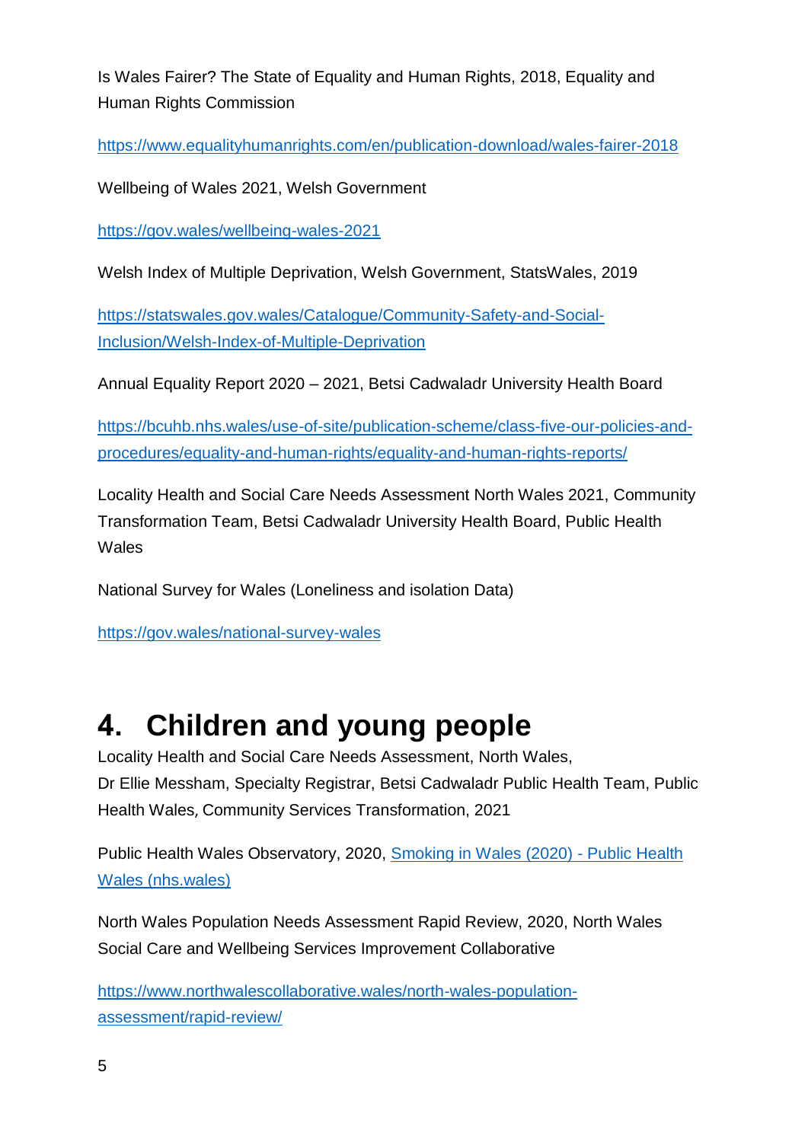Is Wales Fairer? The State of Equality and Human Rights, 2018, Equality and Human Rights Commission

<https://www.equalityhumanrights.com/en/publication-download/wales-fairer-2018>

Wellbeing of Wales 2021, Welsh Government

<https://gov.wales/wellbeing-wales-2021>

Welsh Index of Multiple Deprivation, Welsh Government, StatsWales, 2019

[https://statswales.gov.wales/Catalogue/Community-Safety-and-Social-](https://statswales.gov.wales/Catalogue/Community-Safety-and-Social-Inclusion/Welsh-Index-of-Multiple-Deprivation)[Inclusion/Welsh-Index-of-Multiple-Deprivation](https://statswales.gov.wales/Catalogue/Community-Safety-and-Social-Inclusion/Welsh-Index-of-Multiple-Deprivation)

Annual Equality Report 2020 – 2021, Betsi Cadwaladr University Health Board

[https://bcuhb.nhs.wales/use-of-site/publication-scheme/class-five-our-policies-and](https://bcuhb.nhs.wales/use-of-site/publication-scheme/class-five-our-policies-and-procedures/equality-and-human-rights/equality-and-human-rights-reports/)[procedures/equality-and-human-rights/equality-and-human-rights-reports/](https://bcuhb.nhs.wales/use-of-site/publication-scheme/class-five-our-policies-and-procedures/equality-and-human-rights/equality-and-human-rights-reports/)

Locality Health and Social Care Needs Assessment North Wales 2021, Community Transformation Team, Betsi Cadwaladr University Health Board, Public Health Wales

National Survey for Wales (Loneliness and isolation Data)

<https://gov.wales/national-survey-wales>

#### <span id="page-4-0"></span>**4. Children and young people**

Locality Health and Social Care Needs Assessment, North Wales, Dr Ellie Messham, Specialty Registrar, Betsi Cadwaladr Public Health Team, Public Health Wales, Community Services Transformation, 2021

Public Health Wales Observatory, 2020, [Smoking in Wales \(2020\) -](https://phw.nhs.wales/services-and-teams/observatory/data-and-analysis/smoking-in-wales-2020/) Public Health [Wales \(nhs.wales\)](https://phw.nhs.wales/services-and-teams/observatory/data-and-analysis/smoking-in-wales-2020/)

North Wales Population Needs Assessment Rapid Review, 2020, North Wales Social Care and Wellbeing Services Improvement Collaborative

[https://www.northwalescollaborative.wales/north-wales-population](https://www.northwalescollaborative.wales/north-wales-population-assessment/rapid-review/)[assessment/rapid-review/](https://www.northwalescollaborative.wales/north-wales-population-assessment/rapid-review/)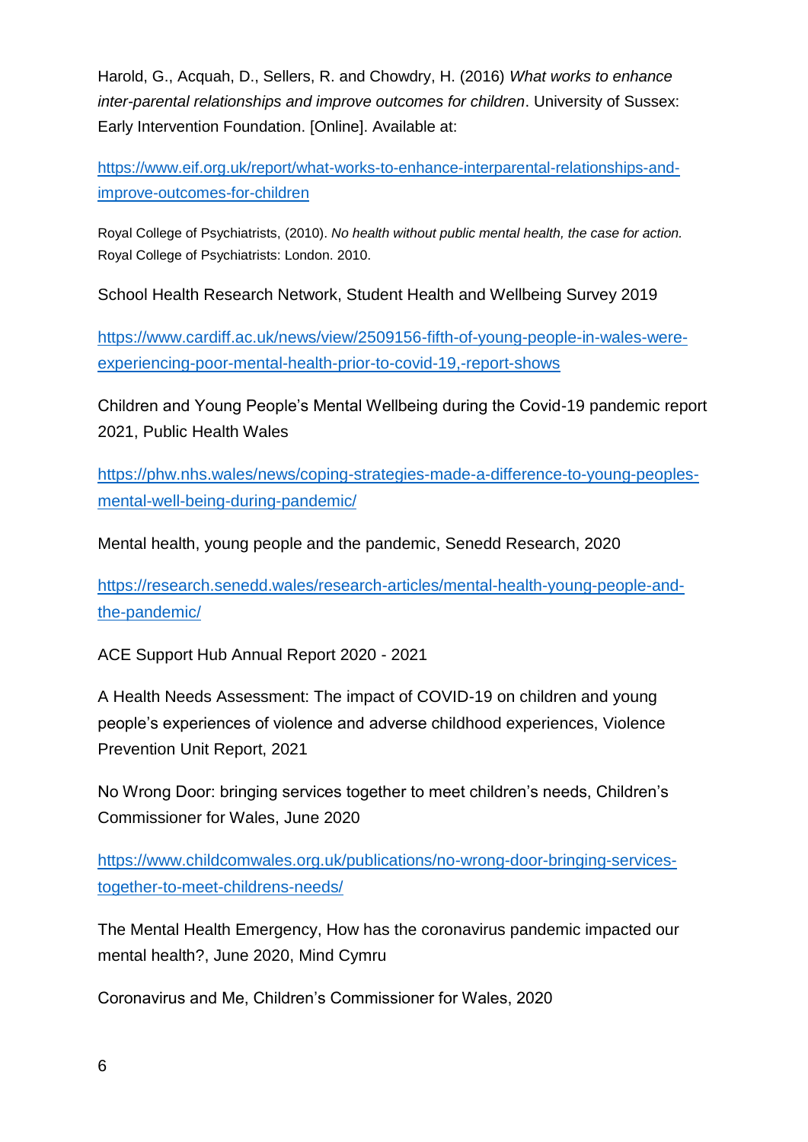Harold, G., Acquah, D., Sellers, R. and Chowdry, H. (2016) *What works to enhance inter-parental relationships and improve outcomes for children*. University of Sussex: Early Intervention Foundation. [Online]. Available at:

[https://www.eif.org.uk/report/what-works-to-enhance-interparental-relationships-and](https://www.eif.org.uk/report/what-works-to-enhance-interparental-relationships-and-improve-outcomes-for-children)[improve-outcomes-for-children](https://www.eif.org.uk/report/what-works-to-enhance-interparental-relationships-and-improve-outcomes-for-children)

Royal College of Psychiatrists, (2010). *No health without public mental health, the case for action.* Royal College of Psychiatrists: London. 2010.

School Health Research Network, Student Health and Wellbeing Survey 2019

[https://www.cardiff.ac.uk/news/view/2509156-fifth-of-young-people-in-wales-were](https://www.cardiff.ac.uk/news/view/2509156-fifth-of-young-people-in-wales-were-experiencing-poor-mental-health-prior-to-covid-19,-report-shows)[experiencing-poor-mental-health-prior-to-covid-19,-report-shows](https://www.cardiff.ac.uk/news/view/2509156-fifth-of-young-people-in-wales-were-experiencing-poor-mental-health-prior-to-covid-19,-report-shows)

Children and Young People's Mental Wellbeing during the Covid-19 pandemic report 2021, Public Health Wales

[https://phw.nhs.wales/news/coping-strategies-made-a-difference-to-young-peoples](https://phw.nhs.wales/news/coping-strategies-made-a-difference-to-young-peoples-mental-well-being-during-pandemic/)[mental-well-being-during-pandemic/](https://phw.nhs.wales/news/coping-strategies-made-a-difference-to-young-peoples-mental-well-being-during-pandemic/)

Mental health, young people and the pandemic, Senedd Research, 2020

[https://research.senedd.wales/research-articles/mental-health-young-people-and](https://research.senedd.wales/research-articles/mental-health-young-people-and-the-pandemic/)[the-pandemic/](https://research.senedd.wales/research-articles/mental-health-young-people-and-the-pandemic/)

ACE Support Hub Annual Report 2020 - 2021

A Health Needs Assessment: The impact of COVID-19 on children and young people's experiences of violence and adverse childhood experiences, Violence Prevention Unit Report, 2021

No Wrong Door: bringing services together to meet children's needs, Children's Commissioner for Wales, June 2020

[https://www.childcomwales.org.uk/publications/no-wrong-door-bringing-services](https://www.childcomwales.org.uk/publications/no-wrong-door-bringing-services-together-to-meet-childrens-needs/)[together-to-meet-childrens-needs/](https://www.childcomwales.org.uk/publications/no-wrong-door-bringing-services-together-to-meet-childrens-needs/)

The Mental Health Emergency, How has the coronavirus pandemic impacted our mental health?, June 2020, Mind Cymru

Coronavirus and Me, Children's Commissioner for Wales, 2020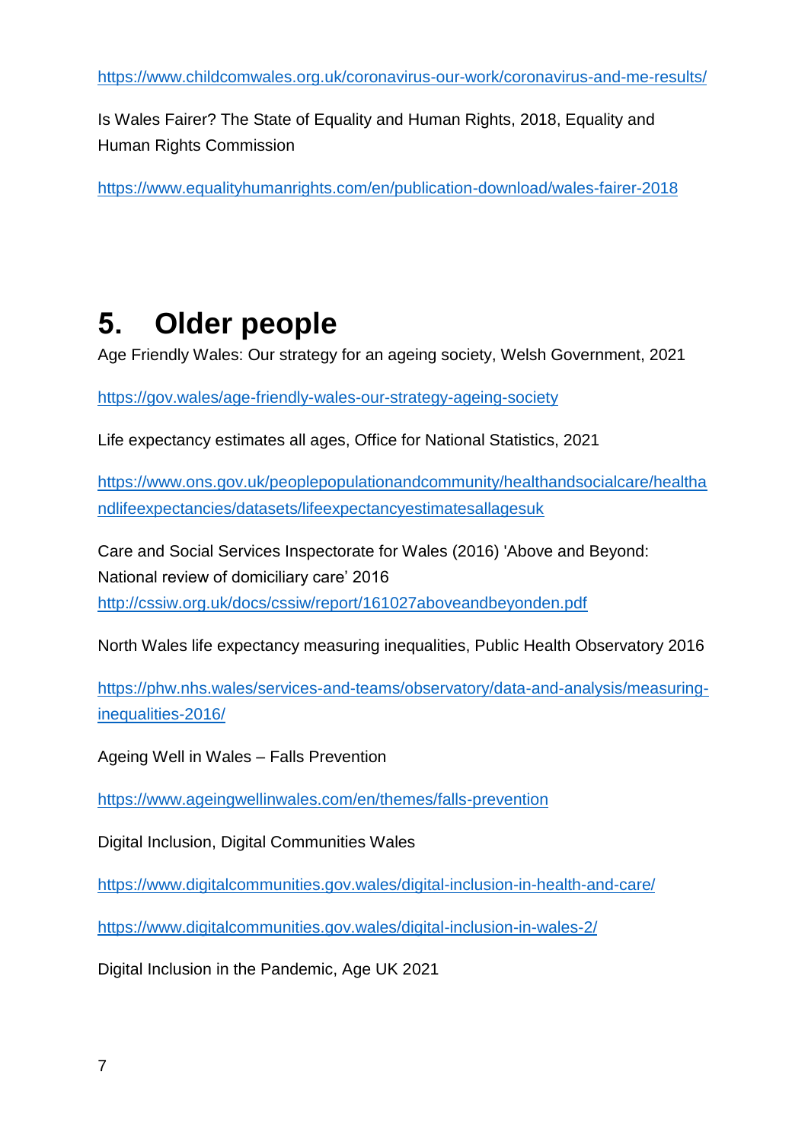Is Wales Fairer? The State of Equality and Human Rights, 2018, Equality and Human Rights Commission

<https://www.equalityhumanrights.com/en/publication-download/wales-fairer-2018>

#### <span id="page-6-0"></span>**5. Older people**

Age Friendly Wales: Our strategy for an ageing society, Welsh Government, 2021

<https://gov.wales/age-friendly-wales-our-strategy-ageing-society>

Life expectancy estimates all ages, Office for National Statistics, 2021

[https://www.ons.gov.uk/peoplepopulationandcommunity/healthandsocialcare/healtha](https://www.ons.gov.uk/peoplepopulationandcommunity/healthandsocialcare/healthandlifeexpectancies/datasets/lifeexpectancyestimatesallagesuk) [ndlifeexpectancies/datasets/lifeexpectancyestimatesallagesuk](https://www.ons.gov.uk/peoplepopulationandcommunity/healthandsocialcare/healthandlifeexpectancies/datasets/lifeexpectancyestimatesallagesuk)

Care and Social Services Inspectorate for Wales (2016) 'Above and Beyond: National review of domiciliary care' 2016 <http://cssiw.org.uk/docs/cssiw/report/161027aboveandbeyonden.pdf>

North Wales life expectancy measuring inequalities, Public Health Observatory 2016

[https://phw.nhs.wales/services-and-teams/observatory/data-and-analysis/measuring](https://phw.nhs.wales/services-and-teams/observatory/data-and-analysis/measuring-inequalities-2016/)[inequalities-2016/](https://phw.nhs.wales/services-and-teams/observatory/data-and-analysis/measuring-inequalities-2016/)

Ageing Well in Wales – Falls Prevention

<https://www.ageingwellinwales.com/en/themes/falls-prevention>

Digital Inclusion, Digital Communities Wales

<https://www.digitalcommunities.gov.wales/digital-inclusion-in-health-and-care/>

<https://www.digitalcommunities.gov.wales/digital-inclusion-in-wales-2/>

Digital Inclusion in the Pandemic, Age UK 2021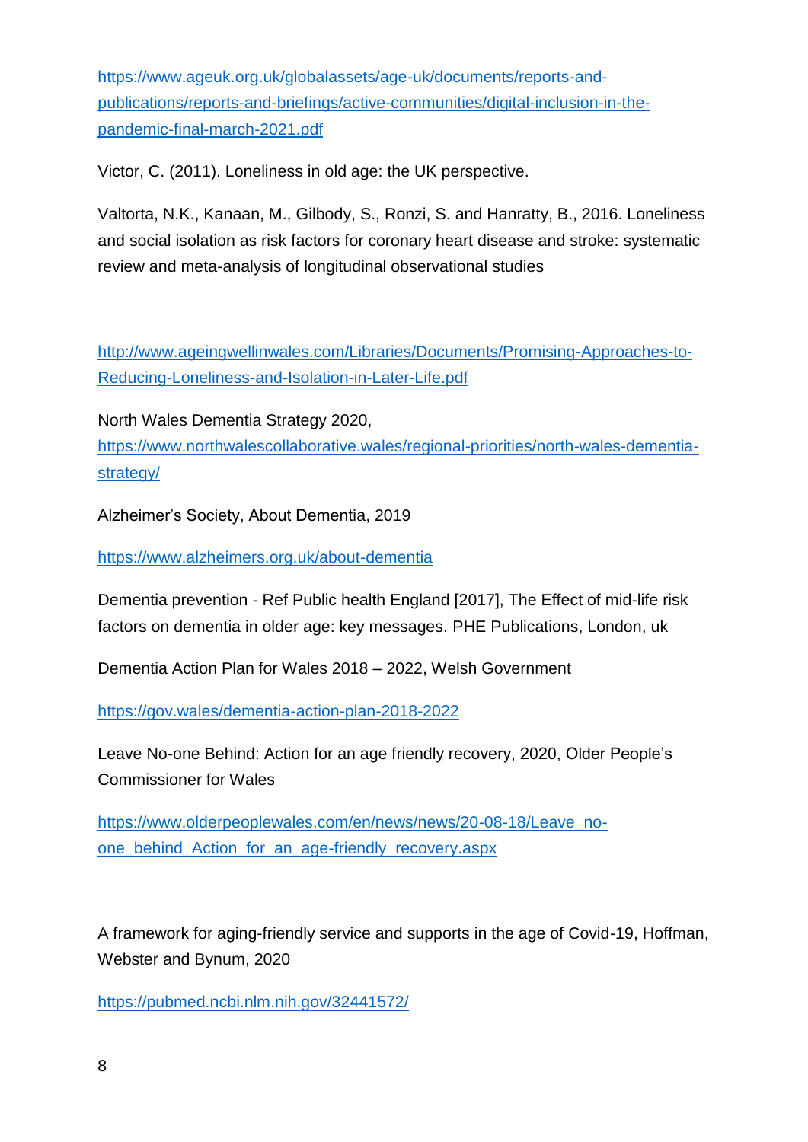[https://www.ageuk.org.uk/globalassets/age-uk/documents/reports-and](https://www.ageuk.org.uk/globalassets/age-uk/documents/reports-and-publications/reports-and-briefings/active-communities/digital-inclusion-in-the-pandemic-final-march-2021.pdf)[publications/reports-and-briefings/active-communities/digital-inclusion-in-the](https://www.ageuk.org.uk/globalassets/age-uk/documents/reports-and-publications/reports-and-briefings/active-communities/digital-inclusion-in-the-pandemic-final-march-2021.pdf)[pandemic-final-march-2021.pdf](https://www.ageuk.org.uk/globalassets/age-uk/documents/reports-and-publications/reports-and-briefings/active-communities/digital-inclusion-in-the-pandemic-final-march-2021.pdf)

Victor, C. (2011). Loneliness in old age: the UK perspective.

Valtorta, N.K., Kanaan, M., Gilbody, S., Ronzi, S. and Hanratty, B., 2016. Loneliness and social isolation as risk factors for coronary heart disease and stroke: systematic review and meta-analysis of longitudinal observational studies

[http://www.ageingwellinwales.com/Libraries/Documents/Promising-Approaches-to-](http://www.ageingwellinwales.com/Libraries/Documents/Promising-Approaches-to-Reducing-Loneliness-and-Isolation-in-Later-Life.pdf)[Reducing-Loneliness-and-Isolation-in-Later-Life.pdf](http://www.ageingwellinwales.com/Libraries/Documents/Promising-Approaches-to-Reducing-Loneliness-and-Isolation-in-Later-Life.pdf)

North Wales Dementia Strategy 2020,

[https://www.northwalescollaborative.wales/regional-priorities/north-wales-dementia](https://www.northwalescollaborative.wales/regional-priorities/north-wales-dementia-strategy/)[strategy/](https://www.northwalescollaborative.wales/regional-priorities/north-wales-dementia-strategy/)

Alzheimer's Society, About Dementia, 2019

<https://www.alzheimers.org.uk/about-dementia>

Dementia prevention - Ref Public health England [2017], The Effect of mid-life risk factors on dementia in older age: key messages. PHE Publications, London, uk

Dementia Action Plan for Wales 2018 – 2022, Welsh Government

<https://gov.wales/dementia-action-plan-2018-2022>

Leave No-one Behind: Action for an age friendly recovery, 2020, Older People's Commissioner for Wales

[https://www.olderpeoplewales.com/en/news/news/20-08-18/Leave\\_no](https://www.olderpeoplewales.com/en/news/news/20-08-18/Leave_no-one_behind_Action_for_an_age-friendly_recovery.aspx)[one\\_behind\\_Action\\_for\\_an\\_age-friendly\\_recovery.aspx](https://www.olderpeoplewales.com/en/news/news/20-08-18/Leave_no-one_behind_Action_for_an_age-friendly_recovery.aspx)

A framework for aging-friendly service and supports in the age of Covid-19, Hoffman, Webster and Bynum, 2020

<https://pubmed.ncbi.nlm.nih.gov/32441572/>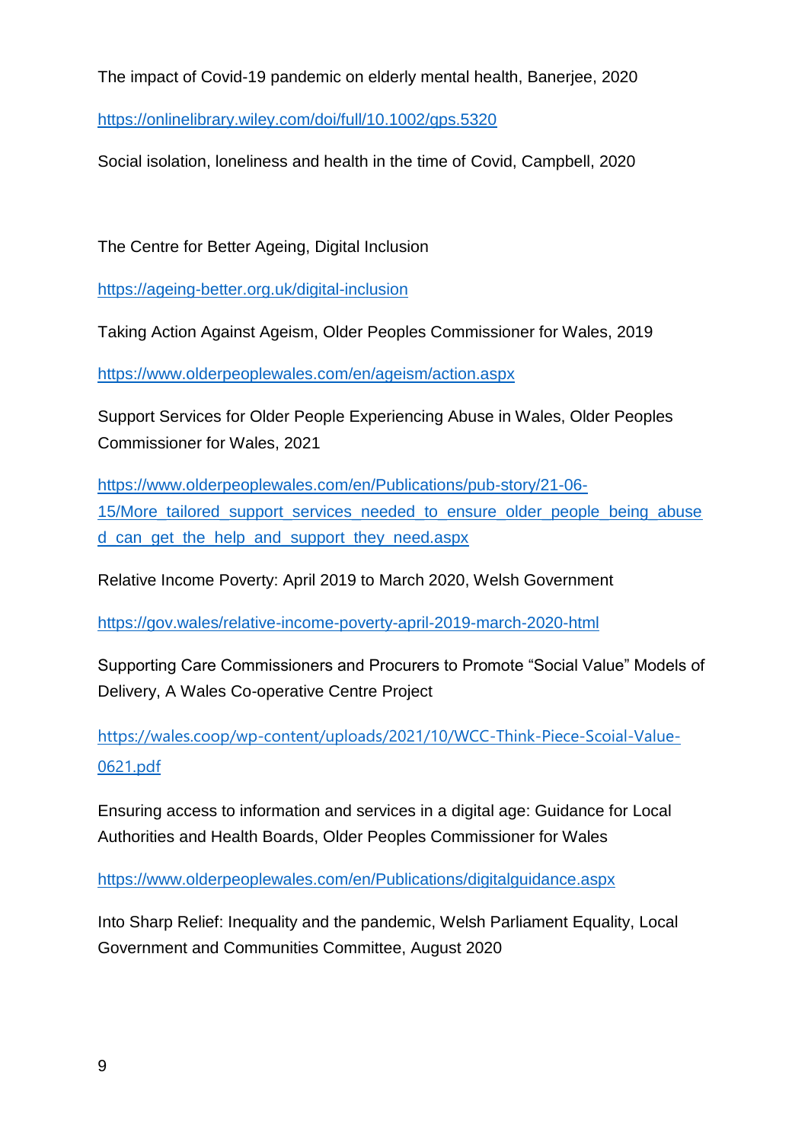The impact of Covid-19 pandemic on elderly mental health, Banerjee, 2020

<https://onlinelibrary.wiley.com/doi/full/10.1002/gps.5320>

Social isolation, loneliness and health in the time of Covid, Campbell, 2020

The Centre for Better Ageing, Digital Inclusion

<https://ageing-better.org.uk/digital-inclusion>

Taking Action Against Ageism, Older Peoples Commissioner for Wales, 2019

<https://www.olderpeoplewales.com/en/ageism/action.aspx>

Support Services for Older People Experiencing Abuse in Wales, Older Peoples Commissioner for Wales, 2021

[https://www.olderpeoplewales.com/en/Publications/pub-story/21-06-](https://www.olderpeoplewales.com/en/Publications/pub-story/21-06-15/More_tailored_support_services_needed_to_ensure_older_people_being_abused_can_get_the_help_and_support_they_need.aspx) 15/More tailored support services needed to ensure older people being abuse d can get the help and support they need.aspx

Relative Income Poverty: April 2019 to March 2020, Welsh Government

<https://gov.wales/relative-income-poverty-april-2019-march-2020-html>

Supporting Care Commissioners and Procurers to Promote "Social Value" Models of Delivery, A Wales Co-operative Centre Project

```
https://wales.coop/wp-content/uploads/2021/10/WCC-Think-Piece-Scoial-Value-
0621.pdf
```
Ensuring access to information and services in a digital age: Guidance for Local Authorities and Health Boards, Older Peoples Commissioner for Wales

<https://www.olderpeoplewales.com/en/Publications/digitalguidance.aspx>

Into Sharp Relief: Inequality and the pandemic, Welsh Parliament Equality, Local Government and Communities Committee, August 2020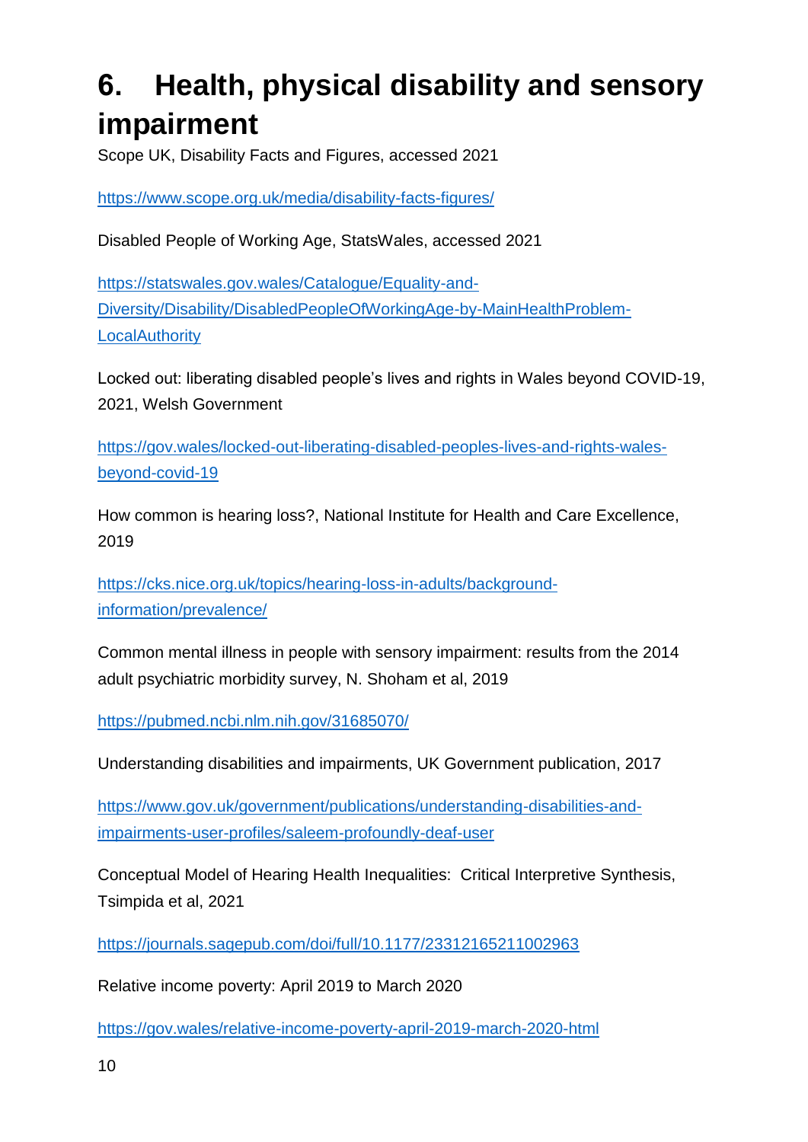### <span id="page-9-0"></span>**6. Health, physical disability and sensory impairment**

Scope UK, Disability Facts and Figures, accessed 2021

<https://www.scope.org.uk/media/disability-facts-figures/>

Disabled People of Working Age, StatsWales, accessed 2021

[https://statswales.gov.wales/Catalogue/Equality-and-](https://statswales.gov.wales/Catalogue/Equality-and-Diversity/Disability/DisabledPeopleOfWorkingAge-by-MainHealthProblem-LocalAuthority)[Diversity/Disability/DisabledPeopleOfWorkingAge-by-MainHealthProblem-](https://statswales.gov.wales/Catalogue/Equality-and-Diversity/Disability/DisabledPeopleOfWorkingAge-by-MainHealthProblem-LocalAuthority)**[LocalAuthority](https://statswales.gov.wales/Catalogue/Equality-and-Diversity/Disability/DisabledPeopleOfWorkingAge-by-MainHealthProblem-LocalAuthority)** 

Locked out: liberating disabled people's lives and rights in Wales beyond COVID-19, 2021, Welsh Government

[https://gov.wales/locked-out-liberating-disabled-peoples-lives-and-rights-wales](https://gov.wales/locked-out-liberating-disabled-peoples-lives-and-rights-wales-beyond-covid-19)[beyond-covid-19](https://gov.wales/locked-out-liberating-disabled-peoples-lives-and-rights-wales-beyond-covid-19)

How common is hearing loss?, National Institute for Health and Care Excellence, 2019

[https://cks.nice.org.uk/topics/hearing-loss-in-adults/background](https://cks.nice.org.uk/topics/hearing-loss-in-adults/background-information/prevalence/)[information/prevalence/](https://cks.nice.org.uk/topics/hearing-loss-in-adults/background-information/prevalence/)

Common mental illness in people with sensory impairment: results from the 2014 adult psychiatric morbidity survey, N. Shoham et al, 2019

<https://pubmed.ncbi.nlm.nih.gov/31685070/>

Understanding disabilities and impairments, UK Government publication, 2017

[https://www.gov.uk/government/publications/understanding-disabilities-and](https://www.gov.uk/government/publications/understanding-disabilities-and-impairments-user-profiles/saleem-profoundly-deaf-user)[impairments-user-profiles/saleem-profoundly-deaf-user](https://www.gov.uk/government/publications/understanding-disabilities-and-impairments-user-profiles/saleem-profoundly-deaf-user)

Conceptual Model of Hearing Health Inequalities: Critical Interpretive Synthesis, Tsimpida et al, 2021

<https://journals.sagepub.com/doi/full/10.1177/23312165211002963>

Relative income poverty: April 2019 to March 2020

<https://gov.wales/relative-income-poverty-april-2019-march-2020-html>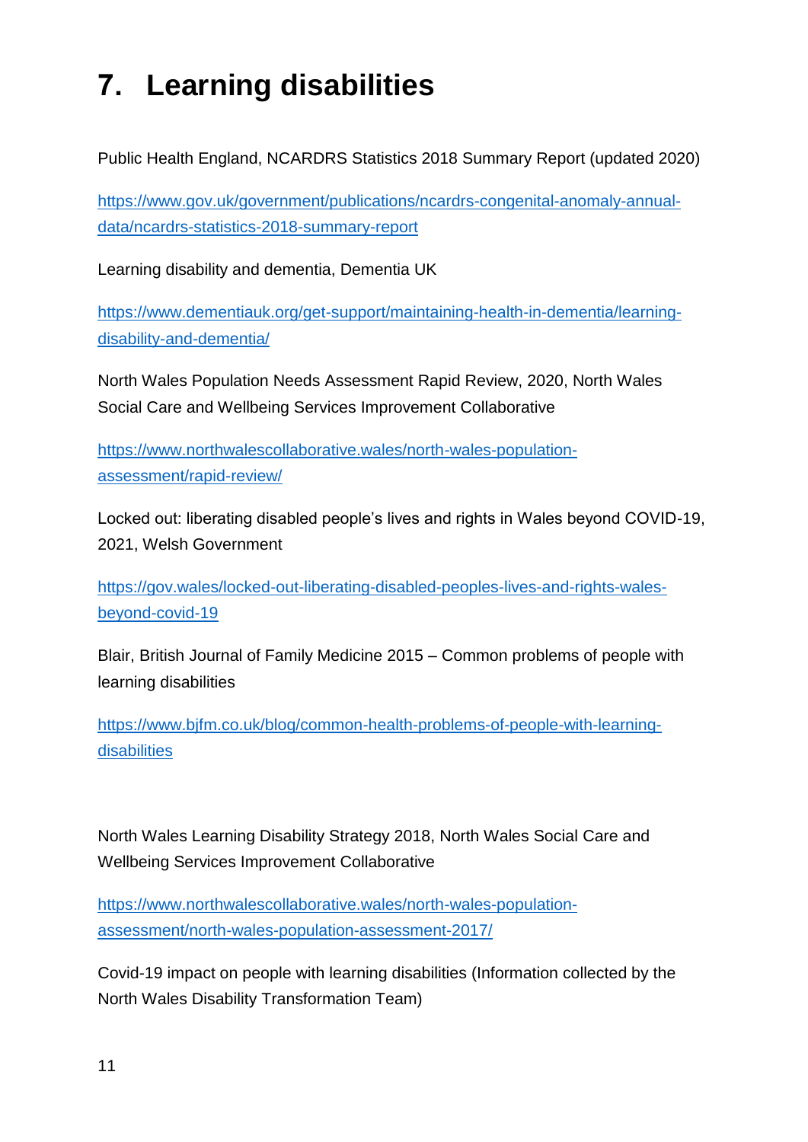## <span id="page-10-0"></span>**7. Learning disabilities**

Public Health England, NCARDRS Statistics 2018 Summary Report (updated 2020)

[https://www.gov.uk/government/publications/ncardrs-congenital-anomaly-annual](https://www.gov.uk/government/publications/ncardrs-congenital-anomaly-annual-data/ncardrs-statistics-2018-summary-report)[data/ncardrs-statistics-2018-summary-report](https://www.gov.uk/government/publications/ncardrs-congenital-anomaly-annual-data/ncardrs-statistics-2018-summary-report)

Learning disability and dementia, Dementia UK

[https://www.dementiauk.org/get-support/maintaining-health-in-dementia/learning](https://www.dementiauk.org/get-support/maintaining-health-in-dementia/learning-disability-and-dementia/)[disability-and-dementia/](https://www.dementiauk.org/get-support/maintaining-health-in-dementia/learning-disability-and-dementia/)

North Wales Population Needs Assessment Rapid Review, 2020, North Wales Social Care and Wellbeing Services Improvement Collaborative

[https://www.northwalescollaborative.wales/north-wales-population](https://www.northwalescollaborative.wales/north-wales-population-assessment/rapid-review/)[assessment/rapid-review/](https://www.northwalescollaborative.wales/north-wales-population-assessment/rapid-review/)

Locked out: liberating disabled people's lives and rights in Wales beyond COVID-19, 2021, Welsh Government

[https://gov.wales/locked-out-liberating-disabled-peoples-lives-and-rights-wales](https://gov.wales/locked-out-liberating-disabled-peoples-lives-and-rights-wales-beyond-covid-19)[beyond-covid-19](https://gov.wales/locked-out-liberating-disabled-peoples-lives-and-rights-wales-beyond-covid-19)

Blair, British Journal of Family Medicine 2015 – Common problems of people with learning disabilities

[https://www.bjfm.co.uk/blog/common-health-problems-of-people-with-learning](https://www.bjfm.co.uk/blog/common-health-problems-of-people-with-learning-disabilities)[disabilities](https://www.bjfm.co.uk/blog/common-health-problems-of-people-with-learning-disabilities)

North Wales Learning Disability Strategy 2018, North Wales Social Care and Wellbeing Services Improvement Collaborative

[https://www.northwalescollaborative.wales/north-wales-population](https://www.northwalescollaborative.wales/north-wales-population-assessment/north-wales-population-assessment-2017/)[assessment/north-wales-population-assessment-2017/](https://www.northwalescollaborative.wales/north-wales-population-assessment/north-wales-population-assessment-2017/)

Covid-19 impact on people with learning disabilities (Information collected by the North Wales Disability Transformation Team)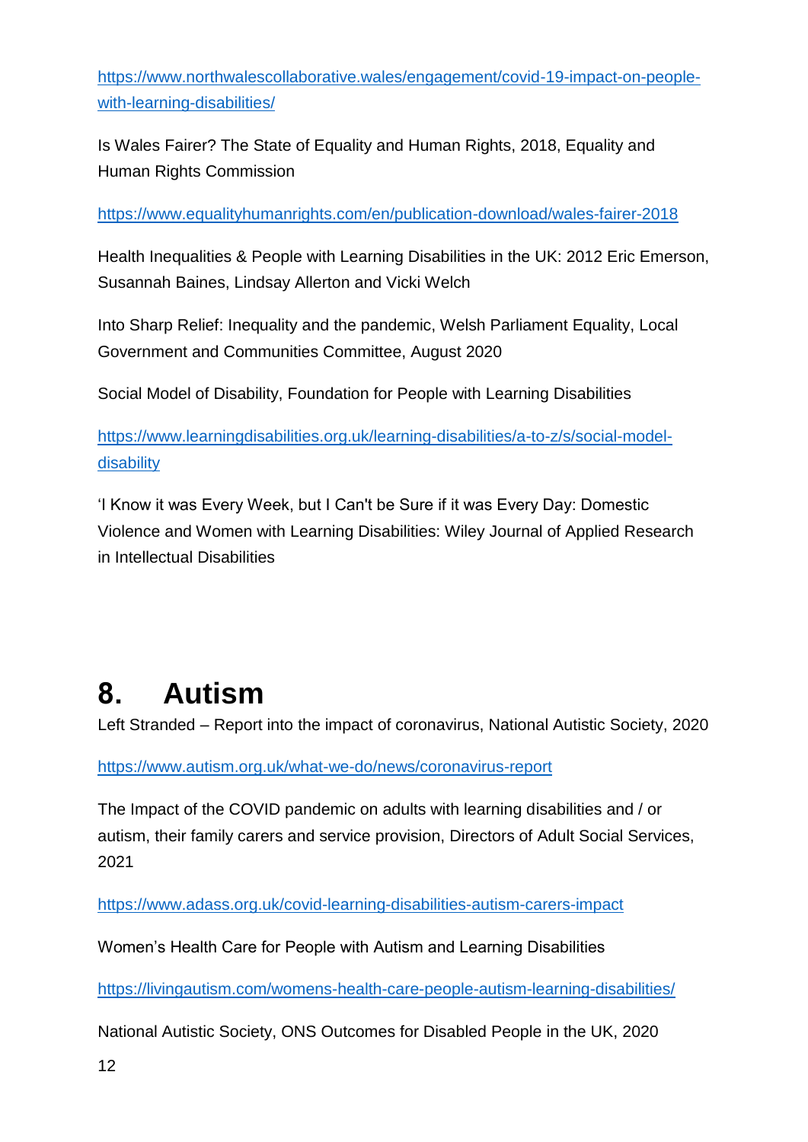[https://www.northwalescollaborative.wales/engagement/covid-19-impact-on-people](https://www.northwalescollaborative.wales/engagement/covid-19-impact-on-people-with-learning-disabilities/)[with-learning-disabilities/](https://www.northwalescollaborative.wales/engagement/covid-19-impact-on-people-with-learning-disabilities/)

Is Wales Fairer? The State of Equality and Human Rights, 2018, Equality and Human Rights Commission

<https://www.equalityhumanrights.com/en/publication-download/wales-fairer-2018>

Health Inequalities & People with Learning Disabilities in the UK: 2012 Eric Emerson, Susannah Baines, Lindsay Allerton and Vicki Welch

Into Sharp Relief: Inequality and the pandemic, Welsh Parliament Equality, Local Government and Communities Committee, August 2020

Social Model of Disability, Foundation for People with Learning Disabilities

[https://www.learningdisabilities.org.uk/learning-disabilities/a-to-z/s/social-model](https://www.learningdisabilities.org.uk/learning-disabilities/a-to-z/s/social-model-disability)[disability](https://www.learningdisabilities.org.uk/learning-disabilities/a-to-z/s/social-model-disability)

'I Know it was Every Week, but I Can't be Sure if it was Every Day: Domestic Violence and Women with Learning Disabilities: Wiley Journal of Applied Research in Intellectual Disabilities

#### <span id="page-11-0"></span>**8. Autism**

Left Stranded – Report into the impact of coronavirus, National Autistic Society, 2020

<https://www.autism.org.uk/what-we-do/news/coronavirus-report>

The Impact of the COVID pandemic on adults with learning disabilities and / or autism, their family carers and service provision, Directors of Adult Social Services, 2021

<https://www.adass.org.uk/covid-learning-disabilities-autism-carers-impact>

Women's Health Care for People with Autism and Learning Disabilities

<https://livingautism.com/womens-health-care-people-autism-learning-disabilities/>

National Autistic Society, ONS Outcomes for Disabled People in the UK, 2020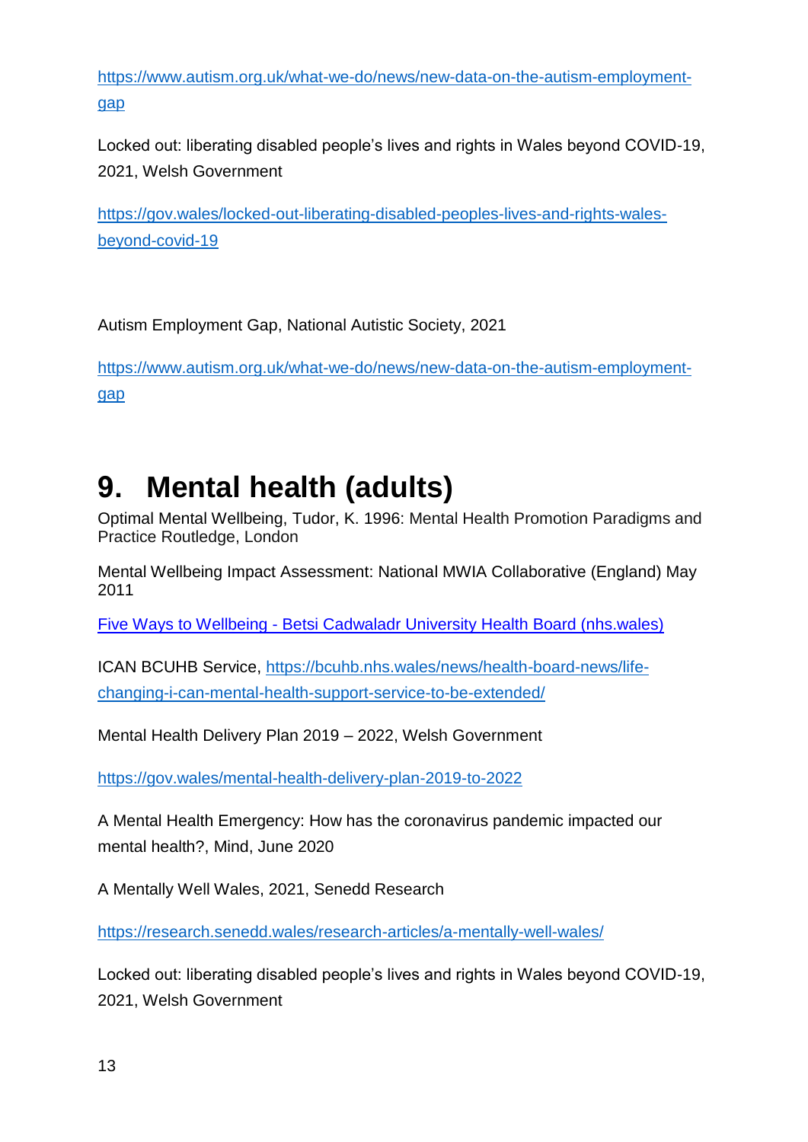[https://www.autism.org.uk/what-we-do/news/new-data-on-the-autism-employment](https://www.autism.org.uk/what-we-do/news/new-data-on-the-autism-employment-gap)[gap](https://www.autism.org.uk/what-we-do/news/new-data-on-the-autism-employment-gap)

Locked out: liberating disabled people's lives and rights in Wales beyond COVID-19, 2021, Welsh Government

[https://gov.wales/locked-out-liberating-disabled-peoples-lives-and-rights-wales](https://gov.wales/locked-out-liberating-disabled-peoples-lives-and-rights-wales-beyond-covid-19)[beyond-covid-19](https://gov.wales/locked-out-liberating-disabled-peoples-lives-and-rights-wales-beyond-covid-19)

Autism Employment Gap, National Autistic Society, 2021

[https://www.autism.org.uk/what-we-do/news/new-data-on-the-autism-employment](https://www.autism.org.uk/what-we-do/news/new-data-on-the-autism-employment-gap)[gap](https://www.autism.org.uk/what-we-do/news/new-data-on-the-autism-employment-gap)

#### <span id="page-12-0"></span>**9. Mental health (adults)**

Optimal Mental Wellbeing, Tudor, K. 1996: Mental Health Promotion Paradigms and Practice Routledge, London

Mental Wellbeing Impact Assessment: National MWIA Collaborative (England) May 2011

Five Ways to Wellbeing - [Betsi Cadwaladr University Health Board \(nhs.wales\)](https://bcuhb.nhs.wales/health-advice/five-ways-to-wellbeing/)

ICAN BCUHB Service, [https://bcuhb.nhs.wales/news/health-board-news/life](https://bcuhb.nhs.wales/news/health-board-news/life-changing-i-can-mental-health-support-service-to-be-extended/)[changing-i-can-mental-health-support-service-to-be-extended/](https://bcuhb.nhs.wales/news/health-board-news/life-changing-i-can-mental-health-support-service-to-be-extended/)

Mental Health Delivery Plan 2019 – 2022, Welsh Government

<https://gov.wales/mental-health-delivery-plan-2019-to-2022>

A Mental Health Emergency: How has the coronavirus pandemic impacted our mental health?, Mind, June 2020

A Mentally Well Wales, 2021, Senedd Research

<https://research.senedd.wales/research-articles/a-mentally-well-wales/>

Locked out: liberating disabled people's lives and rights in Wales beyond COVID-19, 2021, Welsh Government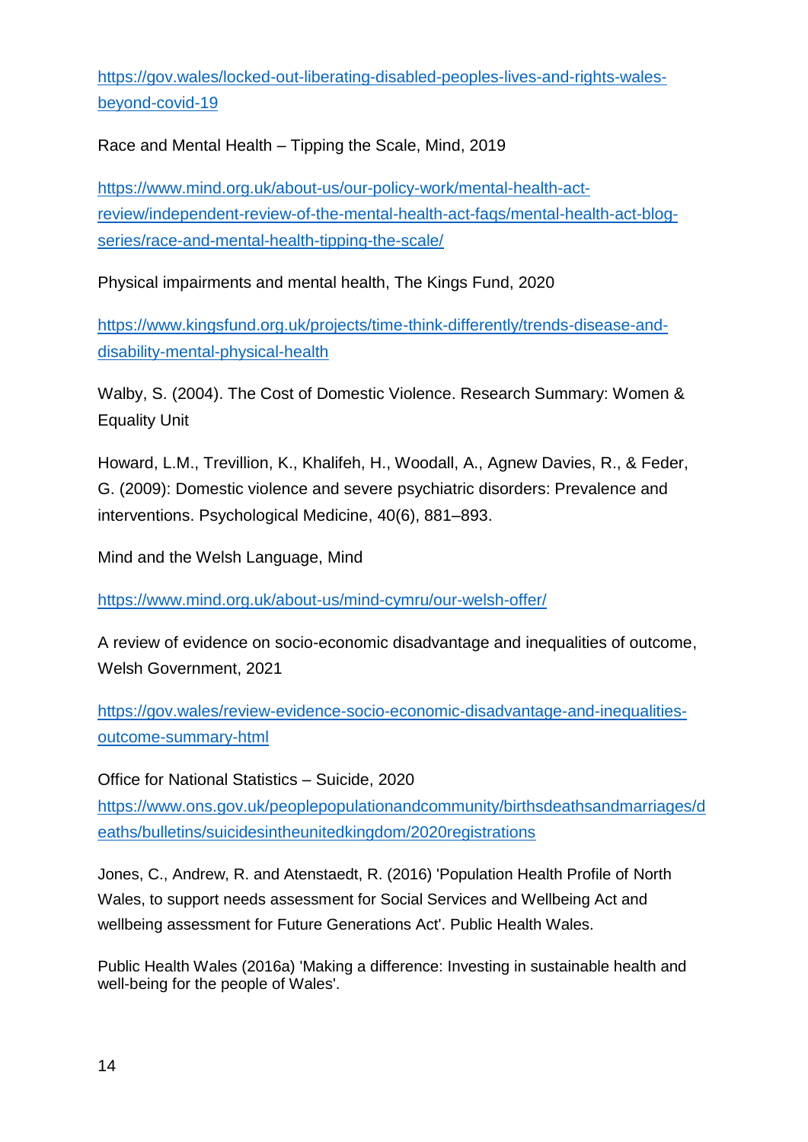[https://gov.wales/locked-out-liberating-disabled-peoples-lives-and-rights-wales](https://gov.wales/locked-out-liberating-disabled-peoples-lives-and-rights-wales-beyond-covid-19)[beyond-covid-19](https://gov.wales/locked-out-liberating-disabled-peoples-lives-and-rights-wales-beyond-covid-19)

Race and Mental Health – Tipping the Scale, Mind, 2019

[https://www.mind.org.uk/about-us/our-policy-work/mental-health-act](https://www.mind.org.uk/about-us/our-policy-work/mental-health-act-review/independent-review-of-the-mental-health-act-faqs/mental-health-act-blog-series/race-and-mental-health-tipping-the-scale/)[review/independent-review-of-the-mental-health-act-faqs/mental-health-act-blog](https://www.mind.org.uk/about-us/our-policy-work/mental-health-act-review/independent-review-of-the-mental-health-act-faqs/mental-health-act-blog-series/race-and-mental-health-tipping-the-scale/)[series/race-and-mental-health-tipping-the-scale/](https://www.mind.org.uk/about-us/our-policy-work/mental-health-act-review/independent-review-of-the-mental-health-act-faqs/mental-health-act-blog-series/race-and-mental-health-tipping-the-scale/)

Physical impairments and mental health, The Kings Fund, 2020

[https://www.kingsfund.org.uk/projects/time-think-differently/trends-disease-and](https://www.kingsfund.org.uk/projects/time-think-differently/trends-disease-and-disability-mental-physical-health)[disability-mental-physical-health](https://www.kingsfund.org.uk/projects/time-think-differently/trends-disease-and-disability-mental-physical-health)

Walby, S. (2004). The Cost of Domestic Violence. Research Summary: Women & Equality Unit

Howard, L.M., Trevillion, K., Khalifeh, H., Woodall, A., Agnew Davies, R., & Feder, G. (2009): Domestic violence and severe psychiatric disorders: Prevalence and interventions. Psychological Medicine, 40(6), 881–893.

Mind and the Welsh Language, Mind

<https://www.mind.org.uk/about-us/mind-cymru/our-welsh-offer/>

A review of evidence on socio-economic disadvantage and inequalities of outcome, Welsh Government, 2021

[https://gov.wales/review-evidence-socio-economic-disadvantage-and-inequalities](https://gov.wales/review-evidence-socio-economic-disadvantage-and-inequalities-outcome-summary-html)[outcome-summary-html](https://gov.wales/review-evidence-socio-economic-disadvantage-and-inequalities-outcome-summary-html)

Office for National Statistics – Suicide, 2020

[https://www.ons.gov.uk/peoplepopulationandcommunity/birthsdeathsandmarriages/d](https://www.ons.gov.uk/peoplepopulationandcommunity/birthsdeathsandmarriages/deaths/bulletins/suicidesintheunitedkingdom/2020registrations) [eaths/bulletins/suicidesintheunitedkingdom/2020registrations](https://www.ons.gov.uk/peoplepopulationandcommunity/birthsdeathsandmarriages/deaths/bulletins/suicidesintheunitedkingdom/2020registrations)

Jones, C., Andrew, R. and Atenstaedt, R. (2016) 'Population Health Profile of North Wales, to support needs assessment for Social Services and Wellbeing Act and wellbeing assessment for Future Generations Act'. Public Health Wales.

Public Health Wales (2016a) 'Making a difference: Investing in sustainable health and well-being for the people of Wales'.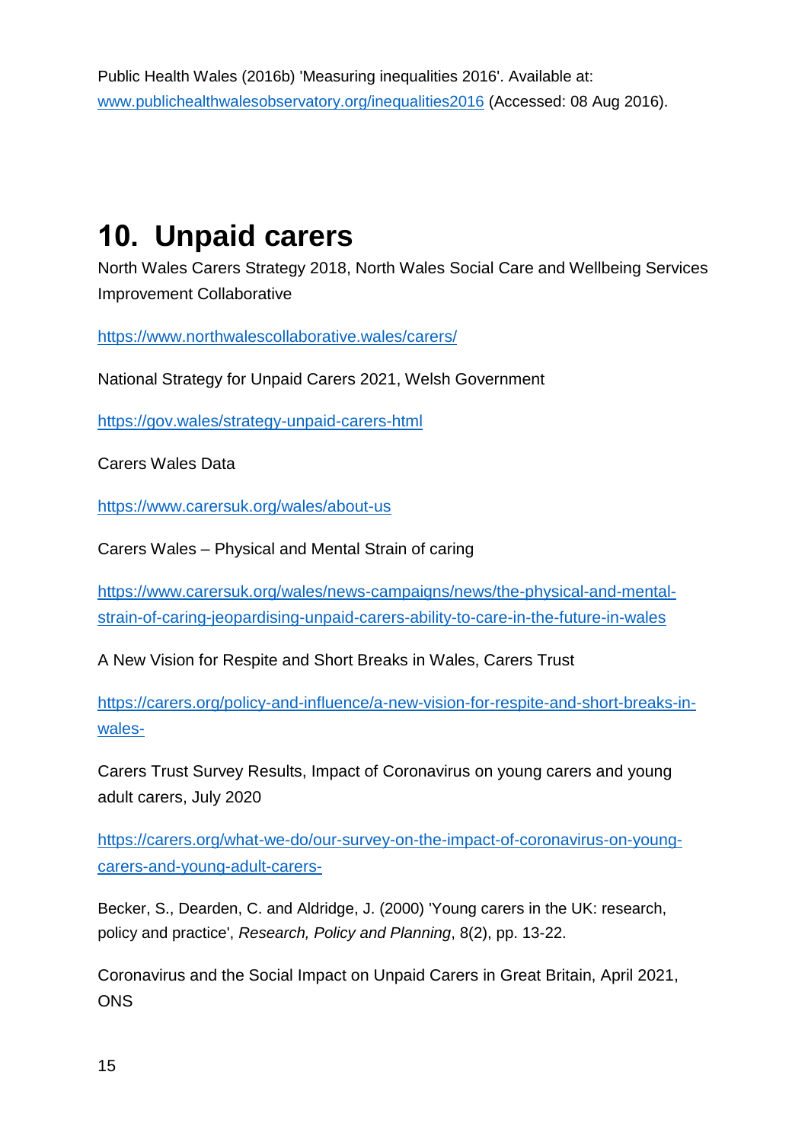#### <span id="page-14-0"></span>**10. Unpaid carers**

North Wales Carers Strategy 2018, North Wales Social Care and Wellbeing Services Improvement Collaborative

<https://www.northwalescollaborative.wales/carers/>

National Strategy for Unpaid Carers 2021, Welsh Government

<https://gov.wales/strategy-unpaid-carers-html>

Carers Wales Data

<https://www.carersuk.org/wales/about-us>

Carers Wales – Physical and Mental Strain of caring

[https://www.carersuk.org/wales/news-campaigns/news/the-physical-and-mental](https://www.carersuk.org/wales/news-campaigns/news/the-physical-and-mental-strain-of-caring-jeopardising-unpaid-carers-ability-to-care-in-the-future-in-wales)[strain-of-caring-jeopardising-unpaid-carers-ability-to-care-in-the-future-in-wales](https://www.carersuk.org/wales/news-campaigns/news/the-physical-and-mental-strain-of-caring-jeopardising-unpaid-carers-ability-to-care-in-the-future-in-wales)

A New Vision for Respite and Short Breaks in Wales, Carers Trust

[https://carers.org/policy-and-influence/a-new-vision-for-respite-and-short-breaks-in](https://carers.org/policy-and-influence/a-new-vision-for-respite-and-short-breaks-in-wales-)[wales-](https://carers.org/policy-and-influence/a-new-vision-for-respite-and-short-breaks-in-wales-)

Carers Trust Survey Results, Impact of Coronavirus on young carers and young adult carers, July 2020

[https://carers.org/what-we-do/our-survey-on-the-impact-of-coronavirus-on-young](https://carers.org/what-we-do/our-survey-on-the-impact-of-coronavirus-on-young-carers-and-young-adult-carers-)[carers-and-young-adult-carers-](https://carers.org/what-we-do/our-survey-on-the-impact-of-coronavirus-on-young-carers-and-young-adult-carers-)

Becker, S., Dearden, C. and Aldridge, J. (2000) 'Young carers in the UK: research, policy and practice', *Research, Policy and Planning*, 8(2), pp. 13-22.

Coronavirus and the Social Impact on Unpaid Carers in Great Britain, April 2021, **ONS**